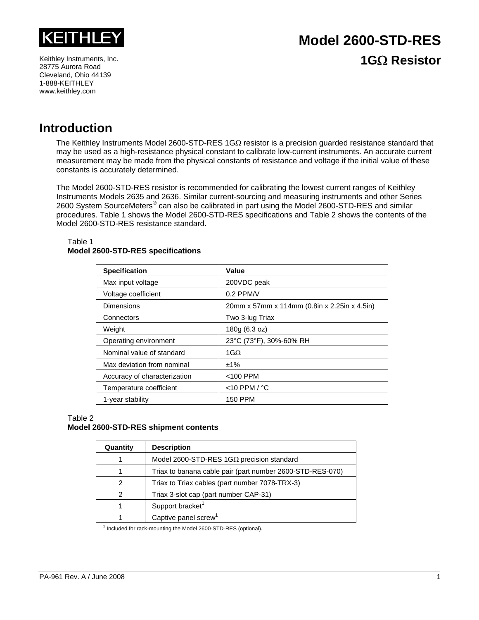

Keithley Instruments, Inc. 28775 Aurora Road Cleveland, Ohio 44139 1-888-KEITHLEY www.keithley.com

# **Introduction**

The Keithley Instruments Model 2600-STD-RES 1G $\Omega$  resistor is a precision guarded resistance standard that may be used as a high-resistance physical constant to calibrate low-current instruments. An accurate current measurement may be made from the physical constants of resistance and voltage if the initial value of these constants is accurately determined.

The Model 2600-STD-RES resistor is recommended for calibrating the lowest current ranges of Keithley Instruments Models 2635 and 2636. Similar current-sourcing and measuring instruments and other Series 2600 System SourceMeters® can also be calibrated in part using the Model 2600-STD-RES and similar procedures. Table 1 shows the Model 2600-STD-RES specifications and Table 2 shows the contents of the Model 2600-STD-RES resistance standard.

#### Table 1 **Model 2600-STD-RES specifications**

| <b>Specification</b>         | Value                                        |
|------------------------------|----------------------------------------------|
| Max input voltage            | 200VDC peak                                  |
| Voltage coefficient          | $0.2$ PPM/V                                  |
| Dimensions                   | 20mm x 57mm x 114mm (0.8in x 2.25in x 4.5in) |
| Connectors                   | Two 3-lug Triax                              |
| Weight                       | 180g (6.3 oz)                                |
| Operating environment        | 23°C (73°F), 30%-60% RH                      |
| Nominal value of standard    | 1G $\Omega$                                  |
| Max deviation from nominal   | $±1\%$                                       |
| Accuracy of characterization | $<$ 100 PPM                                  |
| Temperature coefficient      | $<$ 10 PPM / $°C$                            |
| 1-year stability             | <b>150 PPM</b>                               |

Table 2

### **Model 2600-STD-RES shipment contents**

| Quantity | <b>Description</b>                                        |
|----------|-----------------------------------------------------------|
|          | Model 2600-STD-RES 1GΩ precision standard                 |
|          | Triax to banana cable pair (part number 2600-STD-RES-070) |
| 2        | Triax to Triax cables (part number 7078-TRX-3)            |
| 2        | Triax 3-slot cap (part number CAP-31)                     |
|          | Support bracket <sup>1</sup>                              |
|          | Captive panel screw <sup>1</sup>                          |

<sup>1</sup> Included for rack-mounting the Model 2600-STD-RES (optional).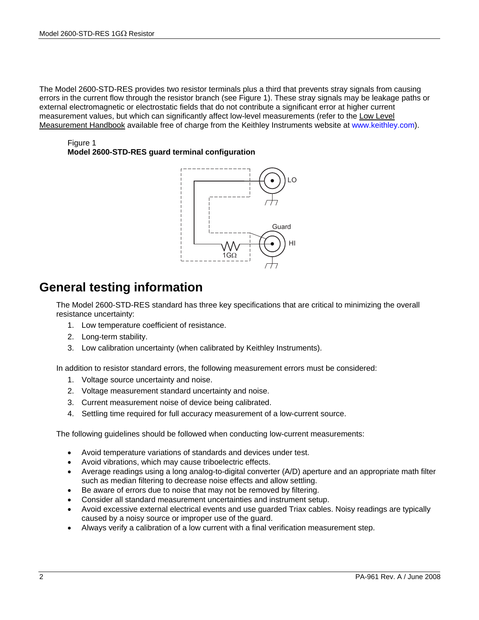The Model 2600-STD-RES provides two resistor terminals plus a third that prevents stray signals from causing errors in the current flow through the resistor branch (see Figure 1). These stray signals may be leakage paths or external electromagnetic or electrostatic fields that do not contribute a significant error at higher current measurement values, but which can significantly affect low-level measurements (refer to the Low Level Measurement Handbook available free of charge from the Keithley Instruments website at www.keithley.com).

Figure 1 **Model 2600-STD-RES guard terminal configuration** 



# **General testing information**

The Model 2600-STD-RES standard has three key specifications that are critical to minimizing the overall resistance uncertainty:

- 1. Low temperature coefficient of resistance.
- 2. Long-term stability.
- 3. Low calibration uncertainty (when calibrated by Keithley Instruments).

In addition to resistor standard errors, the following measurement errors must be considered:

- 1. Voltage source uncertainty and noise.
- 2. Voltage measurement standard uncertainty and noise.
- 3. Current measurement noise of device being calibrated.
- 4. Settling time required for full accuracy measurement of a low-current source.

The following guidelines should be followed when conducting low-current measurements:

- Avoid temperature variations of standards and devices under test.
- Avoid vibrations, which may cause triboelectric effects.
- Average readings using a long analog-to-digital converter (A/D) aperture and an appropriate math filter such as median filtering to decrease noise effects and allow settling.
- Be aware of errors due to noise that may not be removed by filtering.
- Consider all standard measurement uncertainties and instrument setup.
- Avoid excessive external electrical events and use guarded Triax cables. Noisy readings are typically caused by a noisy source or improper use of the guard.
- Always verify a calibration of a low current with a final verification measurement step.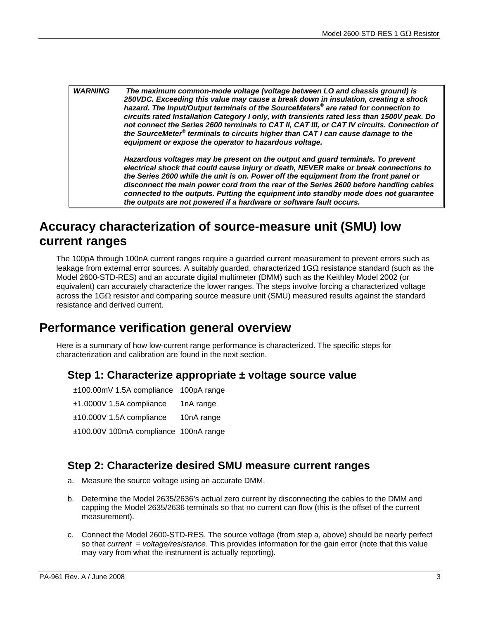*WARNING The maximum common-mode voltage (voltage between LO and chassis ground) is 250VDC. Exceeding this value may cause a break down in insulation, creating a shock hazard. The Input/Output terminals of the SourceMeters® are rated for connection to circuits rated Installation Category I only, with transients rated less than 1500V peak. Do not connect the Series 2600 terminals to CAT II, CAT III, or CAT IV circuits. Connection of*  the SourceMeter<sup>®</sup> terminals to circuits higher than CAT I can cause damage to the *equipment or expose the operator to hazardous voltage.* 

> *Hazardous voltages may be present on the output and guard terminals. To prevent electrical shock that could cause injury or death, NEVER make or break connections to the Series 2600 while the unit is on. Power off the equipment from the front panel or disconnect the main power cord from the rear of the Series 2600 before handling cables connected to the outputs. Putting the equipment into standby mode does not guarantee the outputs are not powered if a hardware or software fault occurs.*

# **Accuracy characterization of source-measure unit (SMU) low current ranges**

The 100pA through 100nA current ranges require a guarded current measurement to prevent errors such as leakage from external error sources. A suitably guarded, characterized 1GΩ resistance standard (such as the Model 2600-STD-RES) and an accurate digital multimeter (DMM) such as the Keithley Model 2002 (or equivalent) can accurately characterize the lower ranges. The steps involve forcing a characterized voltage across the 1GΩ resistor and comparing source measure unit (SMU) measured results against the standard resistance and derived current.

# **Performance verification general overview**

Here is a summary of how low-current range performance is characterized. The specific steps for characterization and calibration are found in the next section.

### **Step 1: Characterize appropriate ± voltage source value**

| ±100.00mV 1.5A compliance 100pA range |            |
|---------------------------------------|------------|
| $±1.0000V$ 1.5A compliance            | 1nA range  |
| $±10.000V$ 1.5A compliance            | 10nA range |
| ±100.00V 100mA compliance 100nA range |            |

### **Step 2: Characterize desired SMU measure current ranges**

- a. Measure the source voltage using an accurate DMM.
- b. Determine the Model 2635/2636's actual zero current by disconnecting the cables to the DMM and capping the Model 2635/2636 terminals so that no current can flow (this is the offset of the current measurement).
- c. Connect the Model 2600-STD-RES. The source voltage (from step a, above) should be nearly perfect so that *current = voltage/resistance*. This provides information for the gain error (note that this value may vary from what the instrument is actually reporting).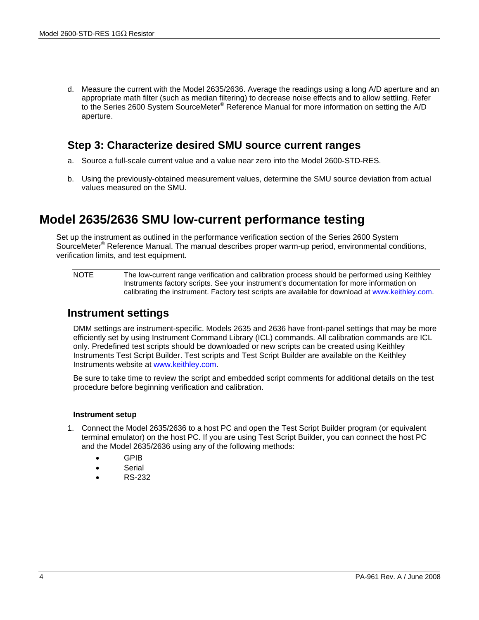d. Measure the current with the Model 2635/2636. Average the readings using a long A/D aperture and an appropriate math filter (such as median filtering) to decrease noise effects and to allow settling. Refer to the Series 2600 System SourceMeter<sup>®</sup> Reference Manual for more information on setting the A/D aperture.

### **Step 3: Characterize desired SMU source current ranges**

- a. Source a full-scale current value and a value near zero into the Model 2600-STD-RES.
- b. Using the previously-obtained measurement values, determine the SMU source deviation from actual values measured on the SMU.

# **Model 2635/2636 SMU low-current performance testing**

Set up the instrument as outlined in the performance verification section of the Series 2600 System SourceMeter<sup>®</sup> Reference Manual. The manual describes proper warm-up period, environmental conditions, verification limits, and test equipment.

NOTE The low-current range verification and calibration process should be performed using Keithley Instruments factory scripts. See your instrument's documentation for more information on calibrating the instrument. Factory test scripts are available for download at www.keithley.com.

### **Instrument settings**

DMM settings are instrument-specific. Models 2635 and 2636 have front-panel settings that may be more efficiently set by using Instrument Command Library (ICL) commands. All calibration commands are ICL only. Predefined test scripts should be downloaded or new scripts can be created using Keithley Instruments Test Script Builder. Test scripts and Test Script Builder are available on the Keithley Instruments website at www.keithley.com.

Be sure to take time to review the script and embedded script comments for additional details on the test procedure before beginning verification and calibration.

#### **Instrument setup**

- 1. Connect the Model 2635/2636 to a host PC and open the Test Script Builder program (or equivalent terminal emulator) on the host PC. If you are using Test Script Builder, you can connect the host PC and the Model 2635/2636 using any of the following methods:
	- GPIB
	- Serial
	- RS-232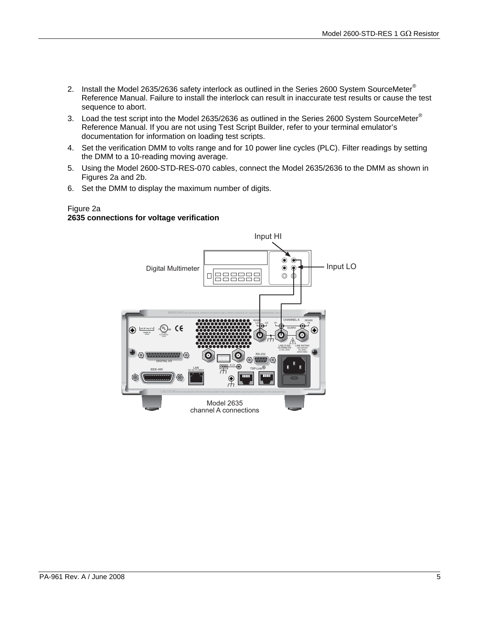- 2. Install the Model 2635/2636 safety interlock as outlined in the Series 2600 System SourceMeter® Reference Manual. Failure to install the interlock can result in inaccurate test results or cause the test sequence to abort.
- 3. Load the test script into the Model 2635/2636 as outlined in the Series 2600 System SourceMeter® Reference Manual. If you are not using Test Script Builder, refer to your terminal emulator's documentation for information on loading test scripts.
- 4. Set the verification DMM to volts range and for 10 power line cycles (PLC). Filter readings by setting the DMM to a 10-reading moving average.
- 5. Using the Model 2600-STD-RES-070 cables, connect the Model 2635/2636 to the DMM as shown in Figures 2a and 2b.
- 6. Set the DMM to display the maximum number of digits.

#### Figure 2a **2635 connections for voltage verification**

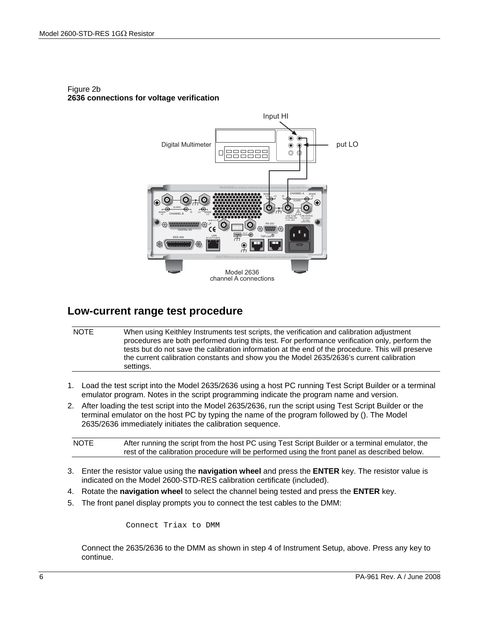

### Figure 2b **2636 connections for voltage verification**

## **Low-current range test procedure**

| <b>NOTE</b> | When using Keithley Instruments test scripts, the verification and calibration adjustment         |
|-------------|---------------------------------------------------------------------------------------------------|
|             | procedures are both performed during this test. For performance verification only, perform the    |
|             | tests but do not save the calibration information at the end of the procedure. This will preserve |
|             | the current calibration constants and show you the Model 2635/2636's current calibration          |
|             | settings.                                                                                         |

- 1. Load the test script into the Model 2635/2636 using a host PC running Test Script Builder or a terminal emulator program. Notes in the script programming indicate the program name and version.
- 2. After loading the test script into the Model 2635/2636, run the script using Test Script Builder or the terminal emulator on the host PC by typing the name of the program followed by (). The Model 2635/2636 immediately initiates the calibration sequence.

| <b>NOTE</b> | After running the script from the host PC using Test Script Builder or a terminal emulator, the |
|-------------|-------------------------------------------------------------------------------------------------|
|             | rest of the calibration procedure will be performed using the front panel as described below.   |

- 3. Enter the resistor value using the **navigation wheel** and press the **ENTER** key. The resistor value is indicated on the Model 2600-STD-RES calibration certificate (included).
- 4. Rotate the **navigation wheel** to select the channel being tested and press the **ENTER** key.
- 5. The front panel display prompts you to connect the test cables to the DMM:

Connect Triax to DMM

Connect the 2635/2636 to the DMM as shown in step 4 of Instrument Setup, above. Press any key to continue.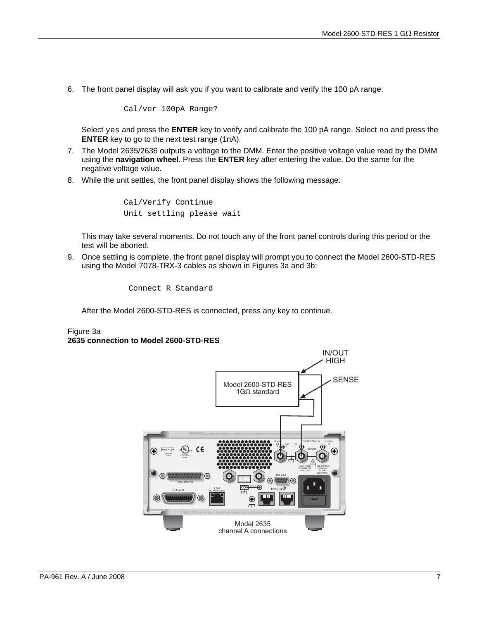6. The front panel display will ask you if you want to calibrate and verify the 100 pA range:

Cal/ver 100pA Range?

Select yes and press the **ENTER** key to verify and calibrate the 100 pA range. Select no and press the **ENTER** key to go to the next test range (1nA).

- 7. The Model 2635/2636 outputs a voltage to the DMM. Enter the positive voltage value read by the DMM using the **navigation wheel**. Press the **ENTER** key after entering the value. Do the same for the negative voltage value.
- 8. While the unit settles, the front panel display shows the following message:

Cal/Verify Continue Unit settling please wait

This may take several moments. Do not touch any of the front panel controls during this period or the test will be aborted.

9. Once settling is complete, the front panel display will prompt you to connect the Model 2600-STD-RES using the Model 7078-TRX-3 cables as shown in Figures 3a and 3b:

Connect R Standard

After the Model 2600-STD-RES is connected, press any key to continue.

### Figure 3a **2635 connection to Model 2600-STD-RES**

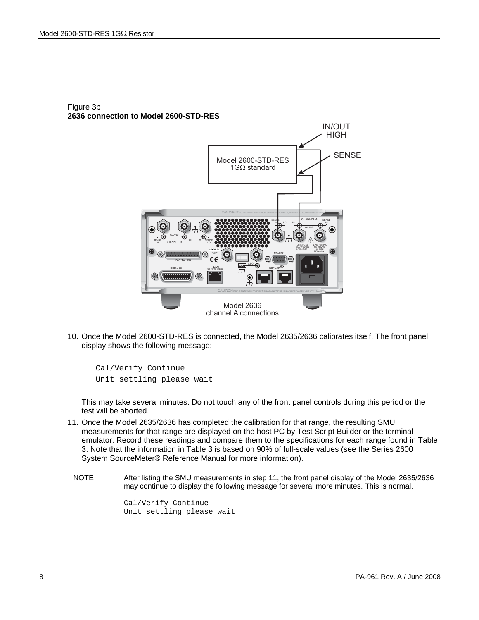

#### Figure 3b **2636 connection to Model 2600-STD-RES**

10. Once the Model 2600-STD-RES is connected, the Model 2635/2636 calibrates itself. The front panel display shows the following message:

Cal/Verify Continue Unit settling please wait

 This may take several minutes. Do not touch any of the front panel controls during this period or the test will be aborted.

11. Once the Model 2635/2636 has completed the calibration for that range, the resulting SMU measurements for that range are displayed on the host PC by Test Script Builder or the terminal emulator. Record these readings and compare them to the specifications for each range found in Table 3. Note that the information in Table 3 is based on 90% of full-scale values (see the Series 2600 System SourceMeter® Reference Manual for more information).

NOTE After listing the SMU measurements in step 11, the front panel display of the Model 2635/2636 may continue to display the following message for several more minutes. This is normal. Cal/Verify Continue Unit settling please wait